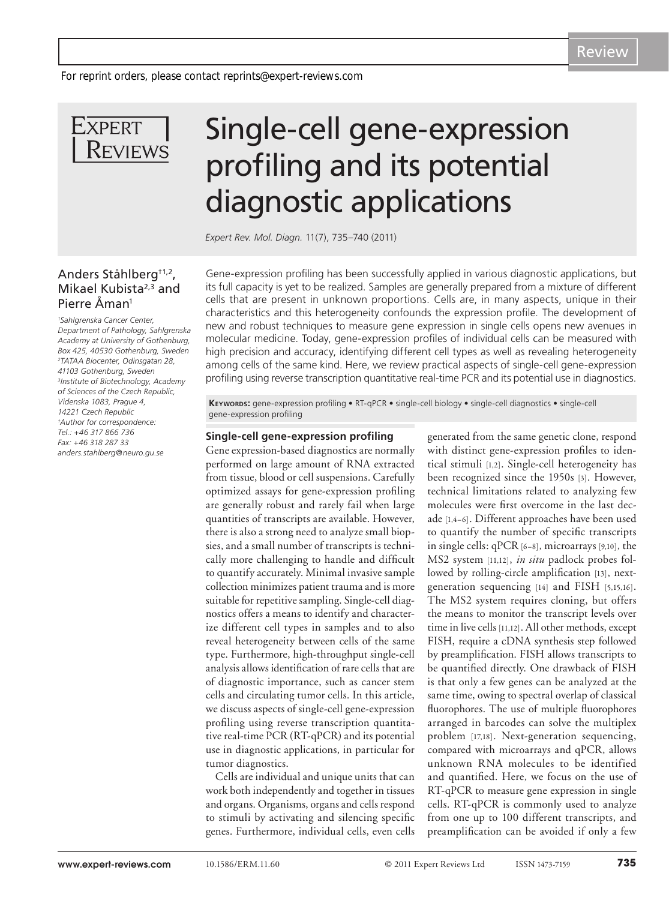*For reprint orders, please contact reprints@expert-reviews.com*



# Single-cell gene-expression profiling and its potential diagnostic applications

*Expert Rev. Mol. Diagn.* 11(7), 735–740 (2011)

## Anders Ståhlberg†1,2, Mikael Kubista<sup>2,3</sup> and Pierre Åman1

*1 Sahlgrenska Cancer Center, Department of Pathology, Sahlgrenska Academy at University of Gothenburg, Box 425, 40530 Gothenburg, Sweden 2 TATAA Biocenter, Odinsgatan 28, 41103 Gothenburg, Sweden 3Institute of Biotechnology, Academy of Sciences of the Czech Republic, Videnska 1083, Prague 4, 14221 Czech Republic † Author for correspondence: Tel.: +46 317 866 736 Fax: +46 318 287 33 anders.stahlberg@neuro.gu.se*

Gene-expression profiling has been successfully applied in various diagnostic applications, but its full capacity is yet to be realized. Samples are generally prepared from a mixture of different cells that are present in unknown proportions. Cells are, in many aspects, unique in their characteristics and this heterogeneity confounds the expression profile. The development of new and robust techniques to measure gene expression in single cells opens new avenues in molecular medicine. Today, gene-expression profiles of individual cells can be measured with high precision and accuracy, identifying different cell types as well as revealing heterogeneity among cells of the same kind. Here, we review practical aspects of single-cell gene-expression profiling using reverse transcription quantitative real-time PCR and its potential use in diagnostics.

**Keywords:** gene-expression profiling • RT-qPCR • single-cell biology • single-cell diagnostics • single-cell gene-expression profiling

### **Single-cell gene-expression profiling**

Gene expression-based diagnostics are normally performed on large amount of RNA extracted from tissue, blood or cell suspensions. Carefully optimized assays for gene-expression profiling are generally robust and rarely fail when large quantities of transcripts are available. However, there is also a strong need to analyze small biopsies, and a small number of transcripts is technically more challenging to handle and difficult to quantify accurately. Minimal invasive sample collection minimizes patient trauma and is more suitable for repetitive sampling. Single-cell diagnostics offers a means to identify and characterize different cell types in samples and to also reveal heterogeneity between cells of the same type. Furthermore, high-throughput single-cell analysis allows identification of rare cells that are of diagnostic importance, such as cancer stem cells and circulating tumor cells. In this article, we discuss aspects of single-cell gene-expression profiling using reverse transcription quantitative real-time PCR (RT-qPCR) and its potential use in diagnostic applications, in particular for tumor diagnostics.

Cells are individual and unique units that can work both independently and together in tissues and organs. Organisms, organs and cells respond to stimuli by activating and silencing specific genes. Furthermore, individual cells, even cells

generated from the same genetic clone, respond with distinct gene-expression profiles to identical stimuli [1,2]. Single-cell heterogeneity has been recognized since the 1950s [3]. However, technical limitations related to analyzing few molecules were first overcome in the last decade [1,4–6]. Different approaches have been used to quantify the number of specific transcripts in single cells: qPCR [6–8], microarrays [9,10], the MS2 system [11,12], *in situ* padlock probes followed by rolling-circle amplification [13], nextgeneration sequencing [14] and FISH [5,15,16]. The MS2 system requires cloning, but offers the means to monitor the transcript levels over time in live cells [11,12]. All other methods, except FISH, require a cDNA synthesis step followed by preamplification. FISH allows transcripts to be quantified directly. One drawback of FISH is that only a few genes can be analyzed at the same time, owing to spectral overlap of classical fluorophores. The use of multiple fluorophores arranged in barcodes can solve the multiplex problem [17,18]. Next-generation sequencing, compared with microarrays and qPCR, allows unknown RNA molecules to be identified and quantified. Here, we focus on the use of RT-qPCR to measure gene expression in single cells. RT-qPCR is commonly used to analyze from one up to 100 different transcripts, and preamplification can be avoided if only a few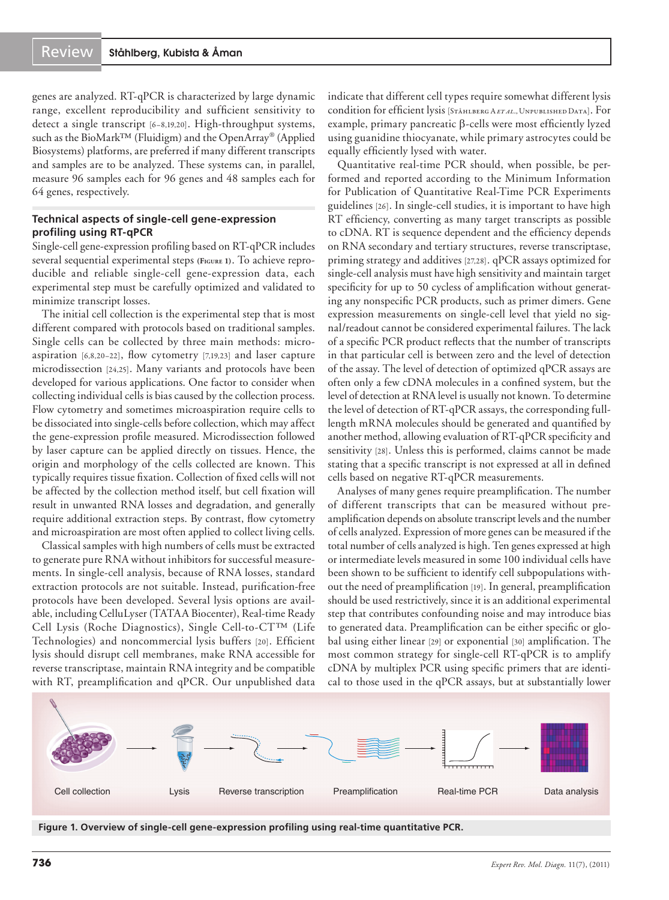genes are analyzed. RT-qPCR is characterized by large dynamic range, excellent reproducibility and sufficient sensitivity to detect a single transcript [6–8,19,20]. High-throughput systems, such as the BioMark™ (Fluidigm) and the OpenArray® (Applied Biosystems) platforms, are preferred if many different transcripts and samples are to be analyzed. These systems can, in parallel, measure 96 samples each for 96 genes and 48 samples each for 64 genes, respectively.

#### **Technical aspects of single-cell gene-expression profiling using RT-qPCR**

Single-cell gene-expression profiling based on RT-qPCR includes several sequential experimental steps **(Figure 1)**. To achieve reproducible and reliable single-cell gene-expression data, each experimental step must be carefully optimized and validated to minimize transcript losses.

The initial cell collection is the experimental step that is most different compared with protocols based on traditional samples. Single cells can be collected by three main methods: microaspiration [6,8,20–22], flow cytometry [7,19,23] and laser capture microdissection [24,25]. Many variants and protocols have been developed for various applications. One factor to consider when collecting individual cells is bias caused by the collection process. Flow cytometry and sometimes microaspiration require cells to be dissociated into single-cells before collection, which may affect the gene-expression profile measured. Microdissection followed by laser capture can be applied directly on tissues. Hence, the origin and morphology of the cells collected are known. This typically requires tissue fixation. Collection of fixed cells will not be affected by the collection method itself, but cell fixation will result in unwanted RNA losses and degradation, and generally require additional extraction steps. By contrast, flow cytometry and microaspiration are most often applied to collect living cells.

Classical samples with high numbers of cells must be extracted to generate pure RNA without inhibitors for successful measurements. In single-cell analysis, because of RNA losses, standard extraction protocols are not suitable. Instead, purification-free protocols have been developed. Several lysis options are available, including CelluLyser (TATAA Biocenter), Real-time Ready Cell Lysis (Roche Diagnostics), Single Cell-to-CT™ (Life Technologies) and noncommercial lysis buffers [20]. Efficient lysis should disrupt cell membranes, make RNA accessible for reverse transcriptase, maintain RNA integrity and be compatible with RT, preamplification and qPCR. Our unpublished data

indicate that different cell types require somewhat different lysis condition for efficient lysis [Ståhlberg A *et al.*, Unpublished Data]. For example, primary pancreatic  $\beta$ -cells were most efficiently lyzed using guanidine thiocyanate, while primary astrocytes could be equally efficiently lysed with water.

Quantitative real-time PCR should, when possible, be performed and reported according to the Minimum Information for Publication of Quantitative Real-Time PCR Experiments guidelines [26]. In single-cell studies, it is important to have high RT efficiency, converting as many target transcripts as possible to cDNA. RT is sequence dependent and the efficiency depends on RNA secondary and tertiary structures, reverse transcriptase, priming strategy and additives [27,28]. qPCR assays optimized for single-cell analysis must have high sensitivity and maintain target specificity for up to 50 cycless of amplification without generating any nonspecific PCR products, such as primer dimers. Gene expression measurements on single-cell level that yield no signal/readout cannot be considered experimental failures. The lack of a specific PCR product reflects that the number of transcripts in that particular cell is between zero and the level of detection of the assay. The level of detection of optimized qPCR assays are often only a few cDNA molecules in a confined system, but the level of detection at RNA level is usually not known. To determine the level of detection of RT-qPCR assays, the corresponding fulllength mRNA molecules should be generated and quantified by another method, allowing evaluation of RT-qPCR specificity and sensitivity [28]. Unless this is performed, claims cannot be made stating that a specific transcript is not expressed at all in defined cells based on negative RT-qPCR measurements.

Analyses of many genes require preamplification. The number of different transcripts that can be measured without preamplification depends on absolute transcript levels and the number of cells analyzed. Expression of more genes can be measured if the total number of cells analyzed is high. Ten genes expressed at high or intermediate levels measured in some 100 individual cells have been shown to be sufficient to identify cell subpopulations without the need of preamplification [19]. In general, preamplification should be used restrictively, since it is an additional experimental step that contributes confounding noise and may introduce bias to generated data. Preamplification can be either specific or global using either linear [29] or exponential [30] amplification. The most common strategy for single-cell RT-qPCR is to amplify cDNA by multiplex PCR using specific primers that are identical to those used in the qPCR assays, but at substantially lower



**Figure 1. Overview of single-cell gene-expression profiling using real-time quantitative PCR.**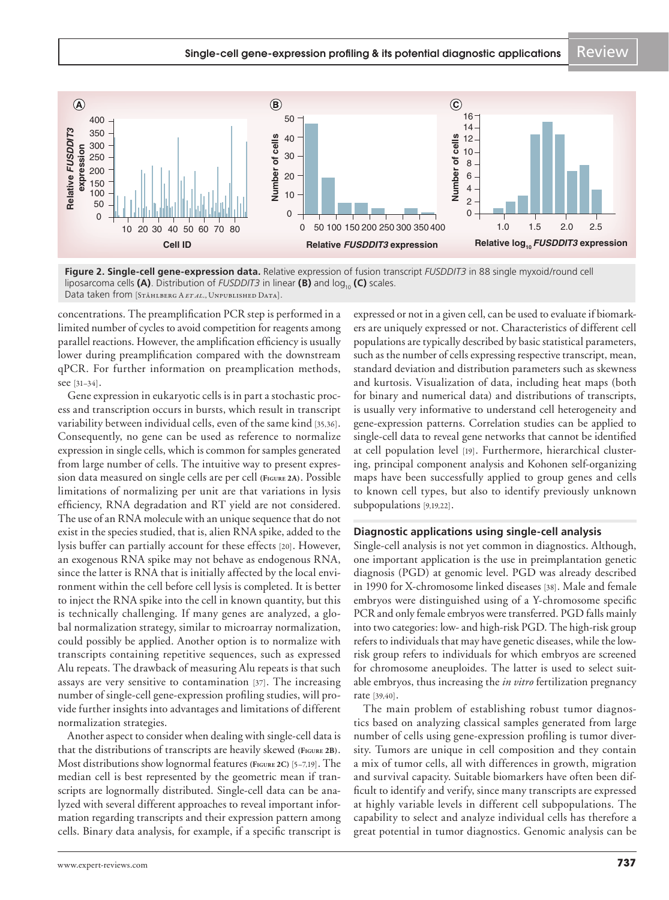

**Figure 2. Single-cell gene-expression data.** Relative expression of fusion transcript *FUSDDIT3* in 88 single myxoid/round cell liposarcoma cells **(A)**. Distribution of *FUSDDIT3* in linear **(B)** and log<sub>10</sub> **(C)** scales. Data taken from [Ståhlberg A *et al.*, Unpublished Data].

concentrations. The preamplification PCR step is performed in a limited number of cycles to avoid competition for reagents among parallel reactions. However, the amplification efficiency is usually lower during preamplification compared with the downstream qPCR. For further information on preamplication methods, see [31–34].

Gene expression in eukaryotic cells is in part a stochastic process and transcription occurs in bursts, which result in transcript variability between individual cells, even of the same kind [35,36]. Consequently, no gene can be used as reference to normalize expression in single cells, which is common for samples generated from large number of cells. The intuitive way to present expression data measured on single cells are per cell **(Figure 2A)**. Possible limitations of normalizing per unit are that variations in lysis efficiency, RNA degradation and RT yield are not considered. The use of an RNA molecule with an unique sequence that do not exist in the species studied, that is, alien RNA spike, added to the lysis buffer can partially account for these effects [20]. However, an exogenous RNA spike may not behave as endogenous RNA, since the latter is RNA that is initially affected by the local environment within the cell before cell lysis is completed. It is better to inject the RNA spike into the cell in known quantity, but this is technically challenging. If many genes are analyzed, a global normalization strategy, similar to microarray normalization, could possibly be applied. Another option is to normalize with transcripts containing repetitive sequences, such as expressed Alu repeats. The drawback of measuring Alu repeats is that such assays are very sensitive to contamination [37]. The increasing number of single-cell gene-expression profiling studies, will provide further insights into advantages and limitations of different normalization strategies.

Another aspect to consider when dealing with single-cell data is that the distributions of transcripts are heavily skewed **(Figure 2B)**. Most distributions show lognormal features **(Figure 2C)** [5–7,19]. The median cell is best represented by the geometric mean if transcripts are lognormally distributed. Single-cell data can be analyzed with several different approaches to reveal important information regarding transcripts and their expression pattern among cells. Binary data analysis, for example, if a specific transcript is

expressed or not in a given cell, can be used to evaluate if biomarkers are uniquely expressed or not. Characteristics of different cell populations are typically described by basic statistical parameters, such as the number of cells expressing respective transcript, mean, standard deviation and distribution parameters such as skewness and kurtosis. Visualization of data, including heat maps (both for binary and numerical data) and distributions of transcripts, is usually very informative to understand cell heterogeneity and gene-expression patterns. Correlation studies can be applied to single-cell data to reveal gene networks that cannot be identified at cell population level [19]. Furthermore, hierarchical clustering, principal component analysis and Kohonen self-organizing maps have been successfully applied to group genes and cells to known cell types, but also to identify previously unknown subpopulations [9,19,22].  $\frac{4}{3}$  i  $2$ <br> **b**  $\frac{4}{3}$  i  $\frac{1}{2}$ <br> **b**  $\frac{1}{2}$ <br> **c**  $\frac{1}{2}$ <br> **c**  $\frac{1}{2}$ <br> **c**  $\frac{1}{2}$ <br> **c**  $\frac{1}{2}$ <br> **c**  $\frac{1}{2}$ <br> **c**  $\frac{1}{2}$ <br> **c**  $\frac{1}{2}$ <br> **c**  $\frac{1}{2}$ <br> **c**  $\frac{1}{2}$ <br> **c**  $\frac{1}{2}$ <br> **c**  $\frac{1}{2}$ 

#### **Diagnostic applications using single-cell analysis**

Single-cell analysis is not yet common in diagnostics. Although, one important application is the use in preimplantation genetic diagnosis (PGD) at genomic level. PGD was already described in 1990 for X-chromosome linked diseases [38]. Male and female embryos were distinguished using of a Y-chromosome specific PCR and only female embryos were transferred. PGD falls mainly into two categories: low- and high-risk PGD. The high-risk group refers to individuals that may have genetic diseases, while the lowrisk group refers to individuals for which embryos are screened for chromosome aneuploides. The latter is used to select suitable embryos, thus increasing the *in vitro* fertilization pregnancy rate [39,40].

The main problem of establishing robust tumor diagnostics based on analyzing classical samples generated from large number of cells using gene-expression profiling is tumor diversity. Tumors are unique in cell composition and they contain a mix of tumor cells, all with differences in growth, migration and survival capacity. Suitable biomarkers have often been difficult to identify and verify, since many transcripts are expressed at highly variable levels in different cell subpopulations. The capability to select and analyze individual cells has therefore a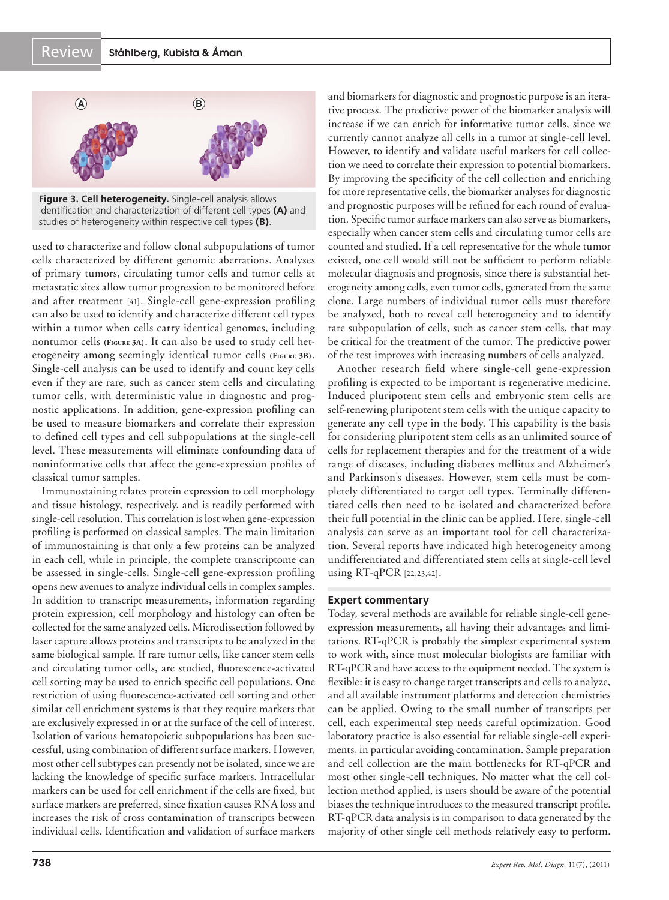

**Figure 3. Cell heterogeneity.** Single-cell analysis allows identification and characterization of different cell types **(A)** and studies of heterogeneity within respective cell types **(B)**.

used to characterize and follow clonal subpopulations of tumor cells characterized by different genomic aberrations. Analyses of primary tumors, circulating tumor cells and tumor cells at metastatic sites allow tumor progression to be monitored before and after treatment [41]. Single-cell gene-expression profiling can also be used to identify and characterize different cell types within a tumor when cells carry identical genomes, including nontumor cells **(Figure 3A)**. It can also be used to study cell heterogeneity among seemingly identical tumor cells **(Figure 3B)**. Single-cell analysis can be used to identify and count key cells even if they are rare, such as cancer stem cells and circulating tumor cells, with deterministic value in diagnostic and prognostic applications. In addition, gene-expression profiling can be used to measure biomarkers and correlate their expression to defined cell types and cell subpopulations at the single-cell level. These measurements will eliminate confounding data of noninformative cells that affect the gene-expression profiles of classical tumor samples.

Immunostaining relates protein expression to cell morphology and tissue histology, respectively, and is readily performed with single-cell resolution. This correlation is lost when gene-expression profiling is performed on classical samples. The main limitation of immunostaining is that only a few proteins can be analyzed in each cell, while in principle, the complete transcriptome can be assessed in single-cells. Single-cell gene-expression profiling opens new avenues to analyze individual cells in complex samples. In addition to transcript measurements, information regarding protein expression, cell morphology and histology can often be collected for the same analyzed cells. Microdissection followed by laser capture allows proteins and transcripts to be analyzed in the same biological sample. If rare tumor cells, like cancer stem cells and circulating tumor cells, are studied, fluorescence-activated cell sorting may be used to enrich specific cell populations. One restriction of using fluorescence-activated cell sorting and other similar cell enrichment systems is that they require markers that are exclusively expressed in or at the surface of the cell of interest. Isolation of various hematopoietic subpopulations has been successful, using combination of different surface markers. However, most other cell subtypes can presently not be isolated, since we are lacking the knowledge of specific surface markers. Intracellular markers can be used for cell enrichment if the cells are fixed, but surface markers are preferred, since fixation causes RNA loss and increases the risk of cross contamination of transcripts between individual cells. Identification and validation of surface markers

and biomarkers for diagnostic and prognostic purpose is an iterative process. The predictive power of the biomarker analysis will increase if we can enrich for informative tumor cells, since we currently cannot analyze all cells in a tumor at single-cell level. However, to identify and validate useful markers for cell collection we need to correlate their expression to potential biomarkers. By improving the specificity of the cell collection and enriching for more representative cells, the biomarker analyses for diagnostic and prognostic purposes will be refined for each round of evaluation. Specific tumor surface markers can also serve as biomarkers, especially when cancer stem cells and circulating tumor cells are counted and studied. If a cell representative for the whole tumor existed, one cell would still not be sufficient to perform reliable molecular diagnosis and prognosis, since there is substantial heterogeneity among cells, even tumor cells, generated from the same clone. Large numbers of individual tumor cells must therefore be analyzed, both to reveal cell heterogeneity and to identify rare subpopulation of cells, such as cancer stem cells, that may be critical for the treatment of the tumor. The predictive power of the test improves with increasing numbers of cells analyzed.

Another research field where single-cell gene-expression profiling is expected to be important is regenerative medicine. Induced pluripotent stem cells and embryonic stem cells are self-renewing pluripotent stem cells with the unique capacity to generate any cell type in the body. This capability is the basis for considering pluripotent stem cells as an unlimited source of cells for replacement therapies and for the treatment of a wide range of diseases, including diabetes mellitus and Alzheimer's and Parkinson's diseases. However, stem cells must be completely differentiated to target cell types. Terminally differentiated cells then need to be isolated and characterized before their full potential in the clinic can be applied. Here, single-cell analysis can serve as an important tool for cell characterization. Several reports have indicated high heterogeneity among undifferentiated and differentiated stem cells at single-cell level using RT-qPCR [22,23,42].

#### **Expert commentary**

Today, several methods are available for reliable single-cell geneexpression measurements, all having their advantages and limitations. RT-qPCR is probably the simplest experimental system to work with, since most molecular biologists are familiar with RT-qPCR and have access to the equipment needed. The system is flexible: it is easy to change target transcripts and cells to analyze, and all available instrument platforms and detection chemistries can be applied. Owing to the small number of transcripts per cell, each experimental step needs careful optimization. Good laboratory practice is also essential for reliable single-cell experiments, in particular avoiding contamination. Sample preparation and cell collection are the main bottlenecks for RT-qPCR and most other single-cell techniques. No matter what the cell collection method applied, is users should be aware of the potential biases the technique introduces to the measured transcript profile. RT-qPCR data analysis is in comparison to data generated by the majority of other single cell methods relatively easy to perform.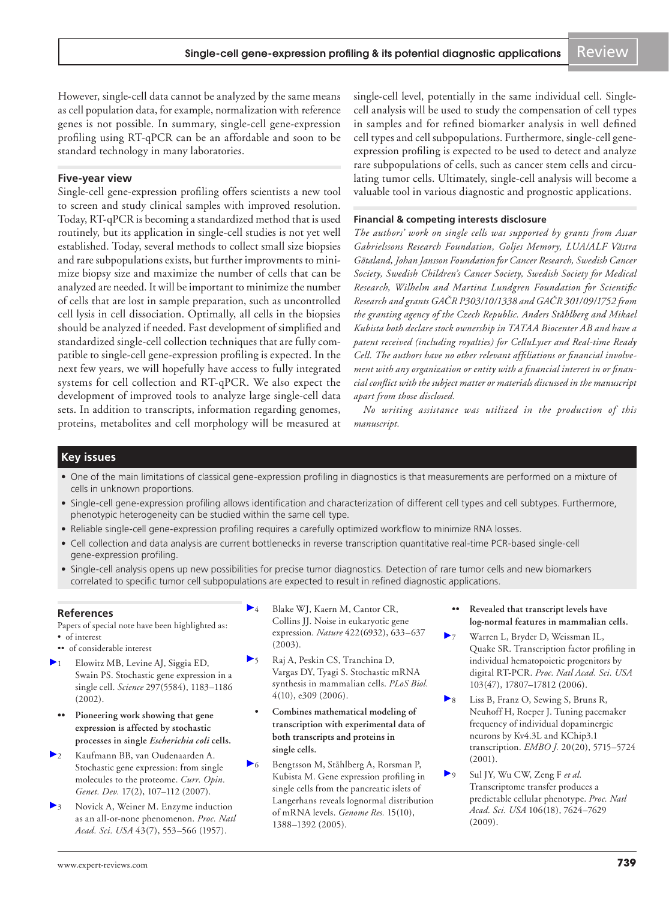However, single-cell data cannot be analyzed by the same means as cell population data, for example, normalization with reference genes is not possible. In summary, single-cell gene-expression profiling using RT-qPCR can be an affordable and soon to be standard technology in many laboratories.

#### **Five-year view**

Single-cell gene-expression profiling offers scientists a new tool to screen and study clinical samples with improved resolution. Today, RT-qPCR is becoming a standardized method that is used routinely, but its application in single-cell studies is not yet well established. Today, several methods to collect small size biopsies and rare subpopulations exists, but further improvments to minimize biopsy size and maximize the number of cells that can be analyzed are needed. It will be important to minimize the number of cells that are lost in sample preparation, such as uncontrolled cell lysis in cell dissociation. Optimally, all cells in the biopsies should be analyzed if needed. Fast development of simplified and standardized single-cell collection techniques that are fully compatible to single-cell gene-expression profiling is expected. In the next few years, we will hopefully have access to fully integrated systems for cell collection and RT-qPCR. We also expect the development of improved tools to analyze large single-cell data sets. In addition to transcripts, information regarding genomes, proteins, metabolites and cell morphology will be measured at

single-cell level, potentially in the same individual cell. Singlecell analysis will be used to study the compensation of cell types in samples and for refined biomarker analysis in well defined cell types and cell subpopulations. Furthermore, single-cell geneexpression profiling is expected to be used to detect and analyze rare subpopulations of cells, such as cancer stem cells and circulating tumor cells. Ultimately, single-cell analysis will become a valuable tool in various diagnostic and prognostic applications.

#### **Financial & competing interests disclosure**

*The authors' work on single cells was supported by grants from Assar Gabrielssons Research Foundation, Goljes Memory, LUA/ALF Västra Götaland, Johan Jansson Foundation for Cancer Research, Swedish Cancer Society, Swedish Children's Cancer Society, Swedish Society for Medical Research, Wilhelm and Martina Lundgren Foundation for Scientific Research and grants GAČR P303/10/1338 and GAČR 301/09/1752 from the granting agency of the Czech Republic. Anders Ståhlberg and Mikael Kubista both declare stock ownership in TATAA Biocenter AB and have a patent received (including royalties) for CelluLyser and Real-time Ready Cell. The authors have no other relevant affiliations or financial involvement with any organization or entity with a financial interest in or financial conflict with the subject matter or materials discussed in the manuscript apart from those disclosed.*

*No writing assistance was utilized in the production of this manuscript.*

### **Key issues**

- One of the main limitations of classical gene-expression profiling in diagnostics is that measurements are performed on a mixture of cells in unknown proportions.
- Single-cell gene-expression profiling allows identification and characterization of different cell types and cell subtypes. Furthermore, phenotypic heterogeneity can be studied within the same cell type.
- Reliable single-cell gene-expression profiling requires a carefully optimized workflow to minimize RNA losses.
- Cell collection and data analysis are current bottlenecks in reverse transcription quantitative real-time PCR-based single-cell gene-expression profiling.
- Single-cell analysis opens up new possibilities for precise tumor diagnostics. Detection of rare tumor cells and new biomarkers correlated to specific tumor cell subpopulations are expected to result in refined diagnostic applications.

#### **References**

Papers of special note have been highlighted as: • of interest

- •• of considerable interest
- 1 Elowitz MB, Levine AJ, Siggia ED, Swain PS. Stochastic gene expression in a single cell. *Science* 297(5584), 1183–1186 (2002).
- **•• Pioneering work showing that gene expression is affected by stochastic processes in single** *Escherichia coli* **cells.**
- 2 Kaufmann BB, van Oudenaarden A. Stochastic gene expression: from single molecules to the proteome. *Curr. Opin. Genet. Dev.* 17(2), 107–112 (2007).
- 3 Novick A, Weiner M. Enzyme induction as an all-or-none phenomenon. *Proc. Natl Acad. Sci. USA* 43(7), 553–566 (1957).
- <sup>4</sup> Blake WJ, Kaern M, Cantor CR, Collins JJ. Noise in eukaryotic gene expression. *Nature* 422(6932), 633–637 (2003).
- 5 Raj A, Peskin CS, Tranchina D, Vargas DY, Tyagi S. Stochastic mRNA synthesis in mammalian cells. *PLoS Biol.* 4(10), e309 (2006).
- **• Combines mathematical modeling of transcription with experimental data of both transcripts and proteins in single cells.**
- 6 Bengtsson M, Ståhlberg A, Rorsman P, Kubista M. Gene expression profiling in single cells from the pancreatic islets of Langerhans reveals lognormal distribution of mRNA levels. *Genome Res.* 15(10), 1388–1392 (2005).
- **Revealed** that **transcript** levels have **log-normal features in mammalian cells.**
- Warren L, Bryder D, Weissman IL, Quake SR. Transcription factor profiling in individual hematopoietic progenitors by digital RT-PCR. *Proc. Natl Acad. Sci. USA* 103(47), 17807–17812 (2006).
- ▶ 8 Liss B, Franz O, Sewing S, Bruns R, Neuhoff H, Roeper J. Tuning pacemaker frequency of individual dopaminergic neurons by Kv4.3L and KChip3.1 transcription. *EMBO J.* 20(20), 5715–5724 (2001).
- 9 Sul JY, Wu CW, Zeng F *et al.* Transcriptome transfer produces a predictable cellular phenotype. *Proc. Natl Acad. Sci. USA* 106(18), 7624–7629 (2009).